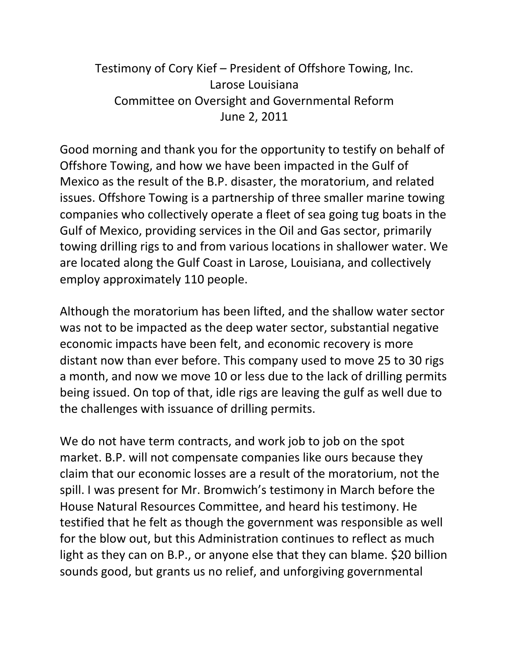## Testimony of Cory Kief – President of Offshore Towing, Inc. Larose Louisiana Committee on Oversight and Governmental Reform June 2, 2011

Good morning and thank you for the opportunity to testify on behalf of Offshore Towing, and how we have been impacted in the Gulf of Mexico as the result of the B.P. disaster, the moratorium, and related issues. Offshore Towing is a partnership of three smaller marine towing companies who collectively operate a fleet of sea going tug boats in the Gulf of Mexico, providing services in the Oil and Gas sector, primarily towing drilling rigs to and from various locations in shallower water. We are located along the Gulf Coast in Larose, Louisiana, and collectively employ approximately 110 people.

Although the moratorium has been lifted, and the shallow water sector was not to be impacted as the deep water sector, substantial negative economic impacts have been felt, and economic recovery is more distant now than ever before. This company used to move 25 to 30 rigs a month, and now we move 10 or less due to the lack of drilling permits being issued. On top of that, idle rigs are leaving the gulf as well due to the challenges with issuance of drilling permits.

We do not have term contracts, and work job to job on the spot market. B.P. will not compensate companies like ours because they claim that our economic losses are a result of the moratorium, not the spill. I was present for Mr. Bromwich's testimony in March before the House Natural Resources Committee, and heard his testimony. He testified that he felt as though the government was responsible as well for the blow out, but this Administration continues to reflect as much light as they can on B.P., or anyone else that they can blame. \$20 billion sounds good, but grants us no relief, and unforgiving governmental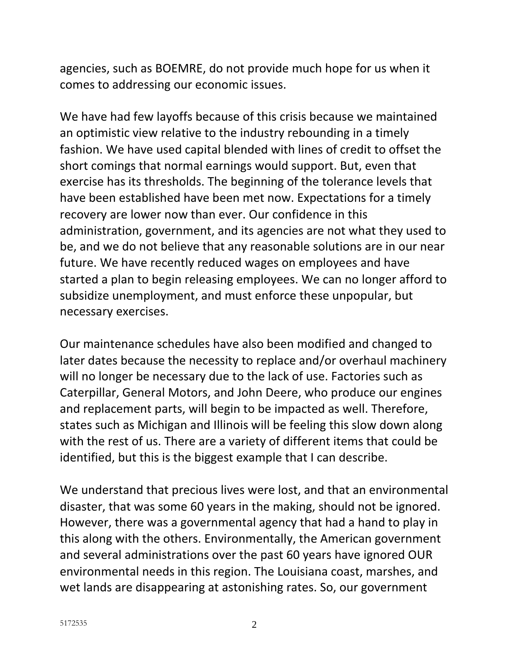agencies, such as BOEMRE, do not provide much hope for us when it comes to addressing our economic issues.

We have had few layoffs because of this crisis because we maintained an optimistic view relative to the industry rebounding in a timely fashion. We have used capital blended with lines of credit to offset the short comings that normal earnings would support. But, even that exercise has its thresholds. The beginning of the tolerance levels that have been established have been met now. Expectations for a timely recovery are lower now than ever. Our confidence in this administration, government, and its agencies are not what they used to be, and we do not believe that any reasonable solutions are in our near future. We have recently reduced wages on employees and have started a plan to begin releasing employees. We can no longer afford to subsidize unemployment, and must enforce these unpopular, but necessary exercises.

Our maintenance schedules have also been modified and changed to later dates because the necessity to replace and/or overhaul machinery will no longer be necessary due to the lack of use. Factories such as Caterpillar, General Motors, and John Deere, who produce our engines and replacement parts, will begin to be impacted as well. Therefore, states such as Michigan and Illinois will be feeling this slow down along with the rest of us. There are a variety of different items that could be identified, but this is the biggest example that I can describe.

We understand that precious lives were lost, and that an environmental disaster, that was some 60 years in the making, should not be ignored. However, there was a governmental agency that had a hand to play in this along with the others. Environmentally, the American government and several administrations over the past 60 years have ignored OUR environmental needs in this region. The Louisiana coast, marshes, and wet lands are disappearing at astonishing rates. So, our government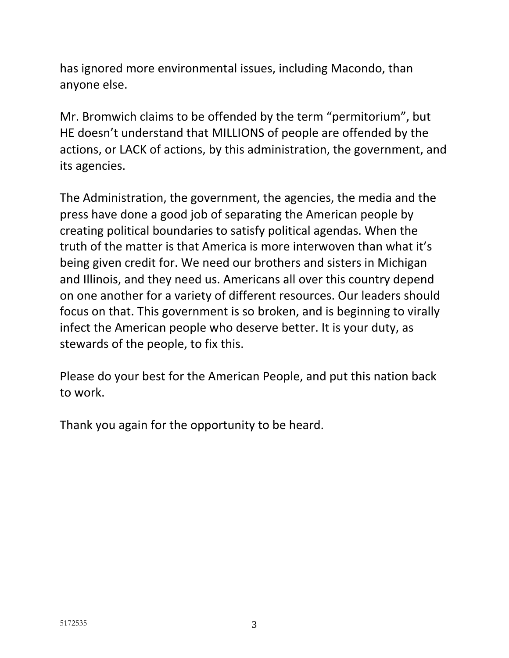has ignored more environmental issues, including Macondo, than anyone else.

Mr. Bromwich claims to be offended by the term "permitorium", but HE doesn't understand that MILLIONS of people are offended by the actions, or LACK of actions, by this administration, the government, and its agencies.

The Administration, the government, the agencies, the media and the press have done a good job of separating the American people by creating political boundaries to satisfy political agendas. When the truth of the matter is that America is more interwoven than what it's being given credit for. We need our brothers and sisters in Michigan and Illinois, and they need us. Americans all over this country depend on one another for a variety of different resources. Our leaders should focus on that. This government is so broken, and is beginning to virally infect the American people who deserve better. It is your duty, as stewards of the people, to fix this.

Please do your best for the American People, and put this nation back to work.

Thank you again for the opportunity to be heard.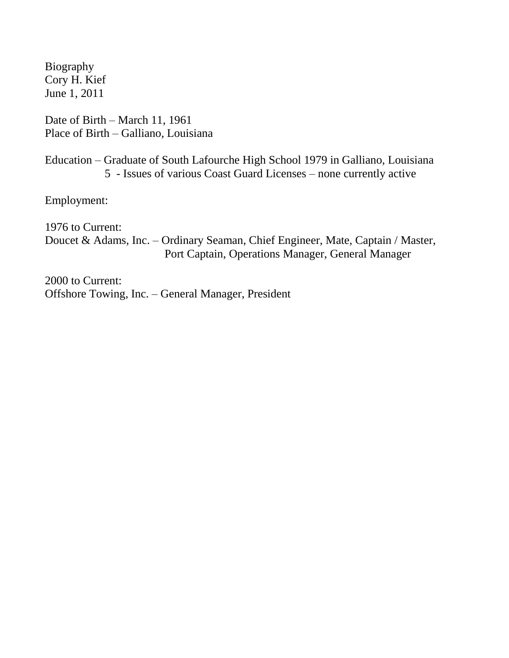Biography Cory H. Kief June 1, 2011

Date of Birth – March 11, 1961 Place of Birth – Galliano, Louisiana

Education – Graduate of South Lafourche High School 1979 in Galliano, Louisiana 5 - Issues of various Coast Guard Licenses – none currently active

Employment:

1976 to Current:

Doucet & Adams, Inc. – Ordinary Seaman, Chief Engineer, Mate, Captain / Master, Port Captain, Operations Manager, General Manager

2000 to Current: Offshore Towing, Inc. – General Manager, President